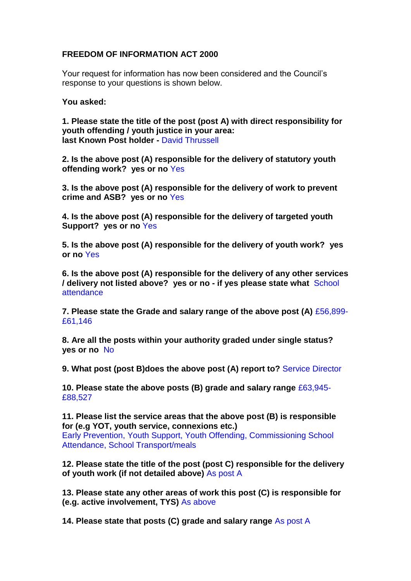## **FREEDOM OF INFORMATION ACT 2000**

Your request for information has now been considered and the Council's response to your questions is shown below.

**You asked:**

**1. Please state the title of the post (post A) with direct responsibility for youth offending / youth justice in your area: last Known Post holder -** David Thrussell

**2. Is the above post (A) responsible for the delivery of statutory youth offending work? yes or no** Yes

**3. Is the above post (A) responsible for the delivery of work to prevent crime and ASB? yes or no** Yes

**4. Is the above post (A) responsible for the delivery of targeted youth Support? yes or no** Yes

**5. Is the above post (A) responsible for the delivery of youth work? yes or no** Yes

**6. Is the above post (A) responsible for the delivery of any other services / delivery not listed above? yes or no - if yes please state what** School attendance

**7. Please state the Grade and salary range of the above post (A)** £56,899- £61,146

**8. Are all the posts within your authority graded under single status? yes or no** No

**9. What post (post B)does the above post (A) report to?** Service Director

**10. Please state the above posts (B) grade and salary range** £63,945- £88,527

**11. Please list the service areas that the above post (B) is responsible for (e.g YOT, youth service, connexions etc.)** 

Early Prevention, Youth Support, Youth Offending, Commissioning School Attendance, School Transport/meals

**12. Please state the title of the post (post C) responsible for the delivery of youth work (if not detailed above)** As post A

**13. Please state any other areas of work this post (C) is responsible for (e.g. active involvement, TYS)** As above

**14. Please state that posts (C) grade and salary range** As post A